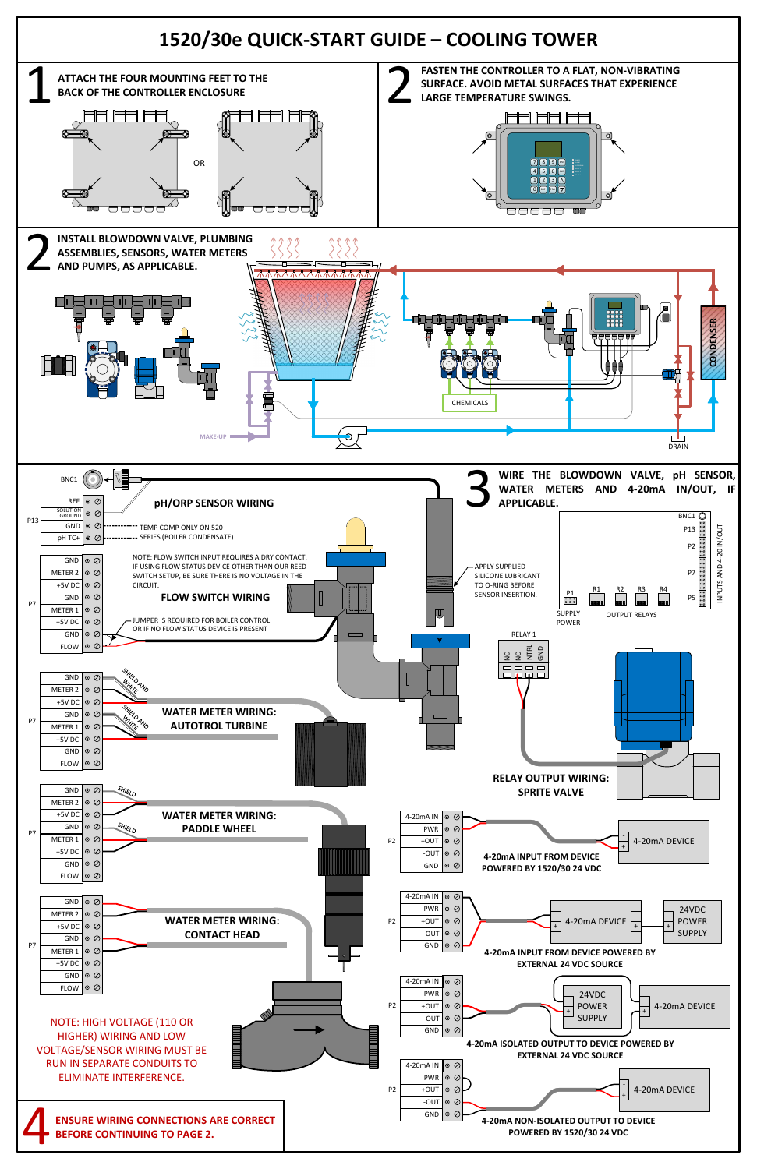